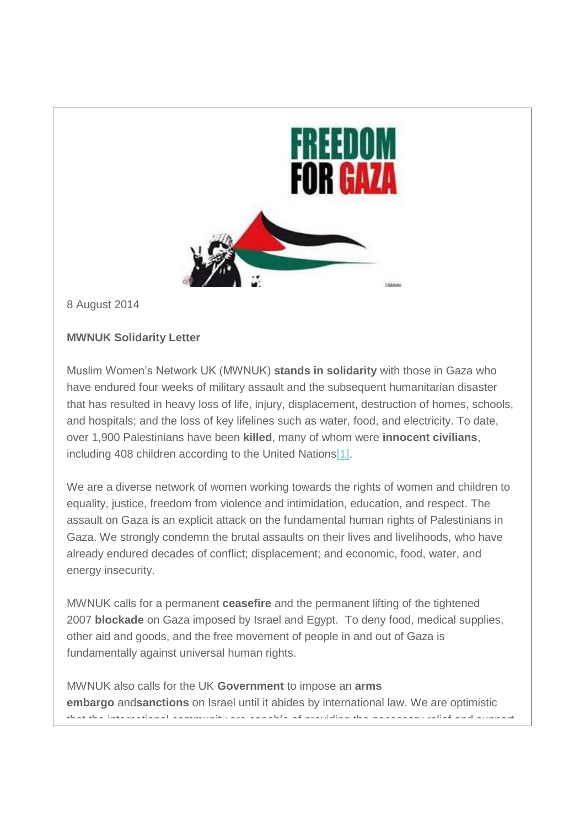

8 August 2014

## **MWNUK Solidarity Letter**

Muslim Women's Network UK (MWNUK) **stands in solidarity** with those in Gaza who have endured four weeks of military assault and the subsequent humanitarian disaster that has resulted in heavy loss of life, injury, displacement, destruction of homes, schools, and hospitals; and the loss of key lifelines such as water, food, and electricity. To date, over 1,900 Palestinians have been **killed**, many of whom were **innocent civilians**, including 408 children according to the United Nation[s\[1\].](https://us7.admin.mailchimp.com/campaigns/preview-content-html?id=645337#_ftn1)

We are a diverse network of women working towards the rights of women and children to equality, justice, freedom from violence and intimidation, education, and respect. The assault on Gaza is an explicit attack on the fundamental human rights of Palestinians in Gaza. We strongly condemn the brutal assaults on their lives and livelihoods, who have already endured decades of conflict; displacement; and economic, food, water, and energy insecurity.

MWNUK calls for a permanent **ceasefire** and the permanent lifting of the tightened 2007 **blockade** on Gaza imposed by Israel and Egypt. To deny food, medical supplies, other aid and goods, and the free movement of people in and out of Gaza is fundamentally against universal human rights.

MWNUK also calls for the UK **Government** to impose an **arms embargo** and**sanctions** on Israel until it abides by international law. We are optimistic that the international community are capable of providing the necessary relief and support